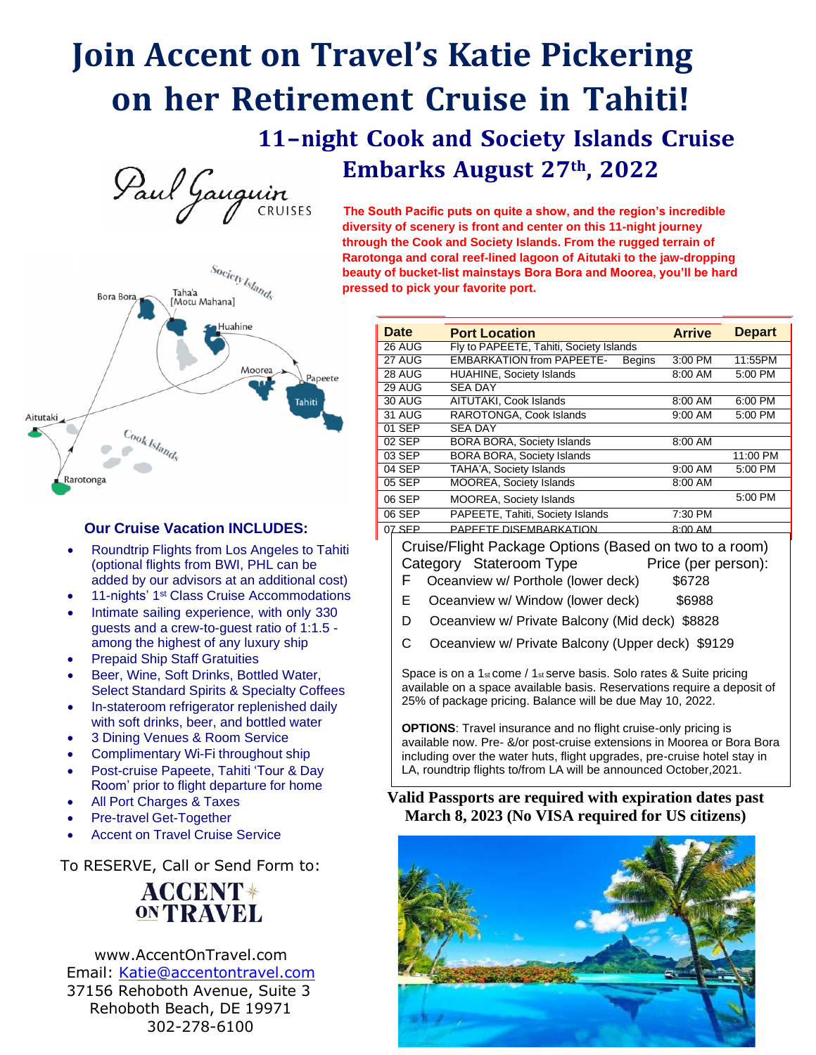# **Join Accent on Travel's Katie Pickering on her Retirement Cruise in Tahiti!**

# **11-night Cook and Society Islands Cruise Embarks August 27th , 2022**



 $s_{o_{\text{Cic}_{\text{C}}}}$ <br>abanal Taha'a **Bora Bora** [Motu Mahana] Huahine Moorea Papeete **Tahiti** Aitutaki  $\frac{C_{\textit{O}_0}}{C_{\textit{O}_0}}$ Rarotonga

## **Our Cruise Vacation INCLUDES:**

- Roundtrip Flights from Los Angeles to Tahiti (optional flights from BWI, PHL can be added by our advisors at an additional cost)
- 11-nights' 1<sup>st</sup> Class Cruise Accommodations
- Intimate sailing experience, with only 330 guests and a crew-to-guest ratio of 1:1.5 among the highest of any luxury ship
- **Prepaid Ship Staff Gratuities**
- Beer, Wine, Soft Drinks, Bottled Water, Select Standard Spirits & Specialty Coffees
- In-stateroom refrigerator replenished daily with soft drinks, beer, and bottled water
- 3 Dining Venues & Room Service
- Complimentary Wi-Fi throughout ship
- Post-cruise Papeete, Tahiti 'Tour & Day Room' prior to flight departure for home
- All Port Charges & Taxes
- Pre-travel Get-Together
- **Accent on Travel Cruise Service**

To RESERVE, Call or Send Form to:

# **ACCENT\* ONTRAVEL**

[www.AccentOnTravel.com](http://www.accentontravel.com/) Email: [Katie@accentontravel.com](mailto:Katie@accentontravel.com) 37156 Rehoboth Avenue, Suite 3 Rehoboth Beach, DE 19971 302-278-6100

**diversity of scenery is front and center on this 11-night journey through the Cook and Society Islands. From the rugged terrain of Rarotonga and coral reef-lined lagoon of Aitutaki to the jaw-dropping beauty of bucket-list mainstays Bora Bora and Moorea, you'll be hard pressed to pick your favorite port.**

| <b>Date</b> | <b>Port Location</b>                              | <b>Arrive</b> | <b>Depart</b> |
|-------------|---------------------------------------------------|---------------|---------------|
| 26 AUG      | Fly to PAPEETE, Tahiti, Society Islands           |               |               |
| 27 AUG      | <b>EMBARKATION from PAPEETE-</b><br><b>Begins</b> | 3:00 PM       | 11:55PM       |
| 28 AUG      | HUAHINE, Society Islands                          | 8:00 AM       | 5:00 PM       |
| $29$ AUG    | <b>SEA DAY</b>                                    |               |               |
| 30 AUG      | AITUTAKI, Cook Islands                            | 8:00 AM       | 6:00 PM       |
| 31 AUG      | RAROTONGA, Cook Islands                           | 9:00 AM       | 5:00 PM       |
| 01 SEP      | <b>SEA DAY</b>                                    |               |               |
| 02 SEP      | <b>BORA BORA, Society Islands</b>                 | 8:00 AM       |               |
| 03 SEP      | <b>BORA BORA, Society Islands</b>                 |               | 11:00 PM      |
| 04 SEP      | TAHA'A, Society Islands                           | $9:00$ AM     | 5:00 PM       |
| 05 SEP      | <b>MOOREA, Society Islands</b>                    | 8:00 AM       |               |
| 06 SEP      | <b>MOOREA, Society Islands</b>                    |               | 5:00 PM       |
| 06 SEP      | PAPEETE, Tahiti, Society Islands                  | 7:30 PM       |               |
| 07 SEP      | PAPEETE DISEMBARKATION                            | $8.00$ AM     |               |

Cruise/Flight Package Options (Based on two to a room) Category Stateroom Type Price (per person):

- F Oceanview w/ Porthole (lower deck) \$6728
- E Oceanview w/ Window (lower deck) \$6988
- D Oceanview w/ Private Balcony (Mid deck) \$8828
- C Oceanview w/ Private Balcony (Upper deck) \$9129

Space is on a 1<sup>st</sup> come / 1<sup>st</sup> serve basis. Solo rates & Suite pricing available on a space available basis. Reservations require a deposit of 25% of package pricing. Balance will be due May 10, 2022.

**OPTIONS**: Travel insurance and no flight cruise-only pricing is available now. Pre- &/or post-cruise extensions in Moorea or Bora Bora including over the water huts, flight upgrades, pre-cruise hotel stay in LA, roundtrip flights to/from LA will be announced October,2021.

## **Valid Passports are required with expiration dates past March 8, 2023 (No VISA required for US citizens)**

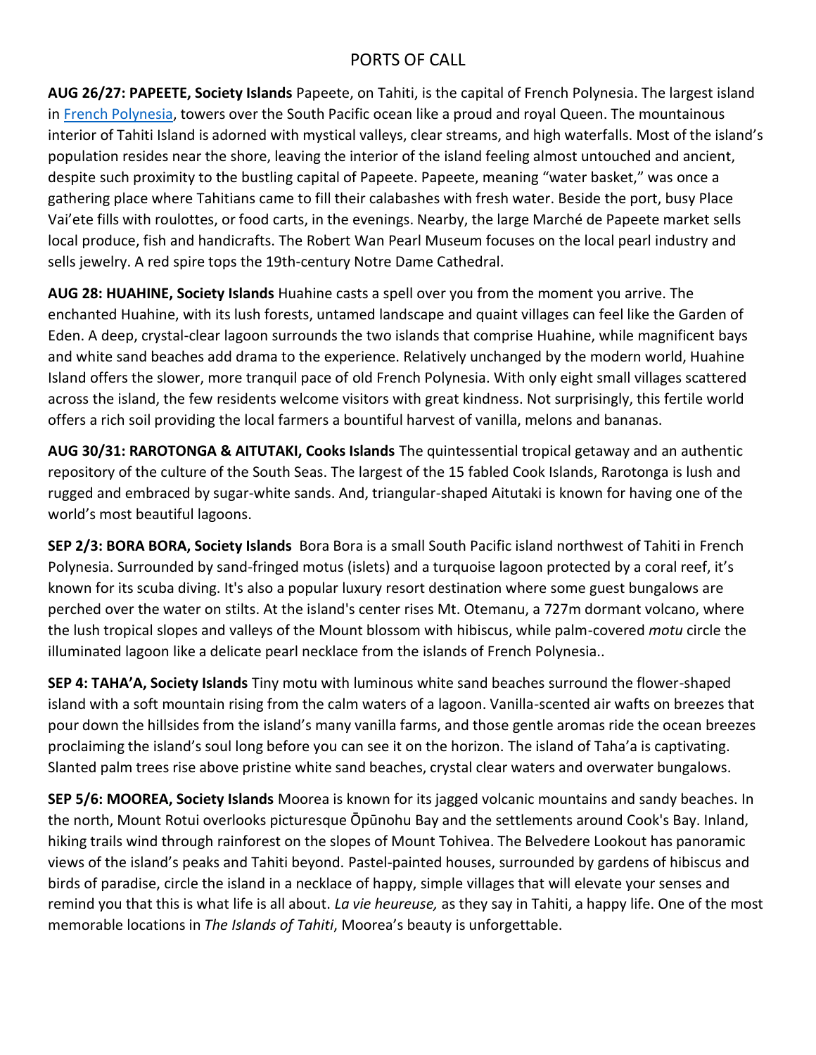## PORTS OF CALL

**AUG 26/27: PAPEETE, Society Islands** Papeete, on Tahiti, is the capital of French Polynesia. The largest island in French [Polynesia,](https://tahititourisme.com/en-us/island/) towers over the South Pacific ocean like a proud and royal Queen. The mountainous interior of Tahiti Island is adorned with mystical valleys, clear streams, and high waterfalls. Most of the island's population resides near the shore, leaving the interior of the island feeling almost untouched and ancient, despite such proximity to the bustling capital of Papeete. Papeete, meaning "water basket," was once a gathering place where Tahitians came to fill their calabashes with fresh water. Beside the port, busy Place Vai'ete fills with roulottes, or food carts, in the evenings. Nearby, the large Marché de Papeete market sells local produce, fish and handicrafts. The Robert Wan Pearl Museum focuses on the local pearl industry and sells jewelry. A red spire tops the 19th-century Notre Dame Cathedral.

**AUG 28: HUAHINE, Society Islands** Huahine casts a spell over you from the moment you arrive. The enchanted Huahine, with its lush forests, untamed landscape and quaint villages can feel like the Garden of Eden. A deep, crystal-clear lagoon surrounds the two islands that comprise Huahine, while magnificent bays and white sand beaches add drama to the experience. Relatively unchanged by the modern world, Huahine Island offers the slower, more tranquil pace of old French Polynesia. With only eight small villages scattered across the island, the few residents welcome visitors with great kindness. Not surprisingly, this fertile world offers a rich soil providing the local farmers a bountiful harvest of vanilla, melons and bananas.

**AUG 30/31: RAROTONGA & AITUTAKI, Cooks Islands** The quintessential tropical getaway and an authentic repository of the culture of the South Seas. The largest of the 15 fabled Cook Islands, Rarotonga is lush and rugged and embraced by sugar-white sands. And, triangular-shaped Aitutaki is known for having one of the world's most beautiful lagoons.

**SEP 2/3: BORA BORA, Society Islands** Bora Bora is a small South Pacific island northwest of Tahiti in French Polynesia. Surrounded by sand-fringed motus (islets) and a turquoise lagoon protected by a coral reef, it's known for its scuba diving. It's also a popular luxury resort destination where some guest bungalows are perched over the water on stilts. At the island's center rises Mt. Otemanu, a 727m dormant volcano, where the lush tropical slopes and valleys of the Mount blossom with hibiscus, while palm-covered *motu* circle the illuminated lagoon like a delicate pearl necklace from the islands of French Polynesia..

**SEP 4: TAHA'A, Society Islands** Tiny motu with luminous white sand beaches surround the flower-shaped island with a soft mountain rising from the calm waters of a lagoon. Vanilla-scented air wafts on breezes that pour down the hillsides from the island's many vanilla farms, and those gentle aromas ride the ocean breezes proclaiming the island's soul long before you can see it on the horizon. The island of Taha'a is captivating. Slanted palm trees rise above pristine white sand beaches, crystal clear waters and overwater bungalows.

**SEP 5/6: MOOREA, Society Islands** Moorea is known for its jagged volcanic mountains and sandy beaches. In the north, Mount Rotui overlooks picturesque Ōpūnohu Bay and the settlements around Cook's Bay. Inland, hiking trails wind through rainforest on the slopes of Mount Tohivea. The Belvedere Lookout has panoramic views of the island's peaks and Tahiti beyond. Pastel-painted houses, surrounded by gardens of hibiscus and birds of paradise, circle the island in a necklace of happy, simple villages that will elevate your senses and remind you that this is what life is all about. *La vie heureuse,* as they say in Tahiti, a happy life. One of the most memorable locations in *The Islands of Tahiti*, Moorea's beauty is unforgettable.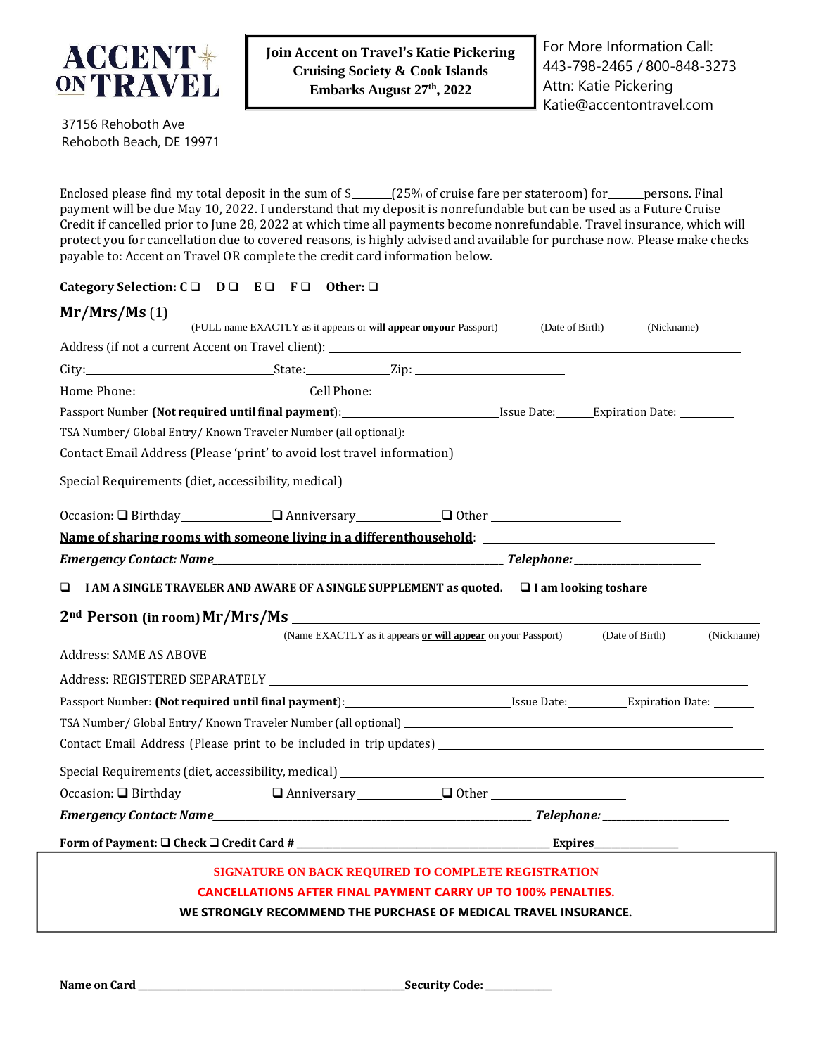

37156 Rehoboth Ave Rehoboth Beach, DE 19971

Enclosed please find my total deposit in the sum of \$\_\_\_\_\_(25% of cruise fare per stateroom) for \_\_\_\_\_persons. Final payment will be due May 10, 2022. I understand that my deposit is nonrefundable but can be used as a Future Cruise Credit if cancelled prior to June 28, 2022 at which time all payments become nonrefundable. Travel insurance, which will protect you for cancellation due to covered reasons, is highly advised and available for purchase now. Please make checks payable to: Accent on Travel OR complete the credit card information below.

#### **Category Selection: C** ❑ **D** ❑ **E** ❑ **F** ❑ **Other:** ❑

| Mr/Mrs/Ms(1)           |                                                                                                                |  |                 |                               |  |
|------------------------|----------------------------------------------------------------------------------------------------------------|--|-----------------|-------------------------------|--|
|                        | (FULL name EXACTLY as it appears or will appear onyour Passport)                                               |  | (Date of Birth) | (Nickname)                    |  |
|                        |                                                                                                                |  |                 |                               |  |
|                        |                                                                                                                |  |                 |                               |  |
|                        | Home Phone: Cell Phone: Cell Phone:                                                                            |  |                 |                               |  |
|                        | Passport Number (Not required until final payment): International State: Expiration Date: Letter Letter Letter |  |                 |                               |  |
|                        |                                                                                                                |  |                 |                               |  |
|                        | Contact Email Address (Please 'print' to avoid lost travel information) ___________________________            |  |                 |                               |  |
|                        | Special Requirements (diet, accessibility, medical) _____________________________                              |  |                 |                               |  |
|                        | Occasion: □ Birthday □ Anniversary □ Other □ Other □                                                           |  |                 |                               |  |
|                        |                                                                                                                |  |                 |                               |  |
|                        |                                                                                                                |  |                 |                               |  |
| $\Box$                 | I AM A SINGLE TRAVELER AND AWARE OF A SINGLE SUPPLEMENT as quoted.<br>                                         |  |                 |                               |  |
|                        |                                                                                                                |  |                 |                               |  |
|                        | (Name EXACTLY as it appears or will appear on your Passport)                                                   |  |                 | (Date of Birth)<br>(Nickname) |  |
| Address: SAME AS ABOVE |                                                                                                                |  |                 |                               |  |
|                        |                                                                                                                |  |                 |                               |  |
|                        |                                                                                                                |  |                 |                               |  |
|                        |                                                                                                                |  |                 |                               |  |
|                        |                                                                                                                |  |                 |                               |  |
|                        | Special Requirements (diet, accessibility, medical) _____________________________                              |  |                 |                               |  |
|                        | Occasion: □ Birthday □ Anniversary □ Other □ Other □ □ Other                                                   |  |                 |                               |  |
|                        |                                                                                                                |  |                 |                               |  |
|                        |                                                                                                                |  |                 |                               |  |
|                        |                                                                                                                |  |                 |                               |  |
|                        | SIGNATURE ON BACK REQUIRED TO COMPLETE REGISTRATION                                                            |  |                 |                               |  |
|                        | <b>CANCELLATIONS AFTER FINAL PAYMENT CARRY UP TO 100% PENALTIES.</b>                                           |  |                 |                               |  |